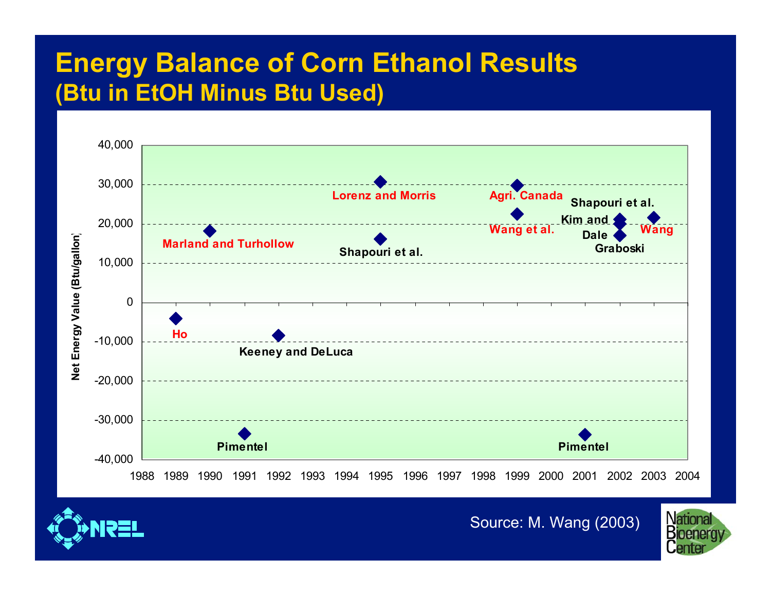#### **Energy Balance of Corn Ethanol Results (Btu in EtOH Minus Btu Used)**





Source: M. Wang (2003)

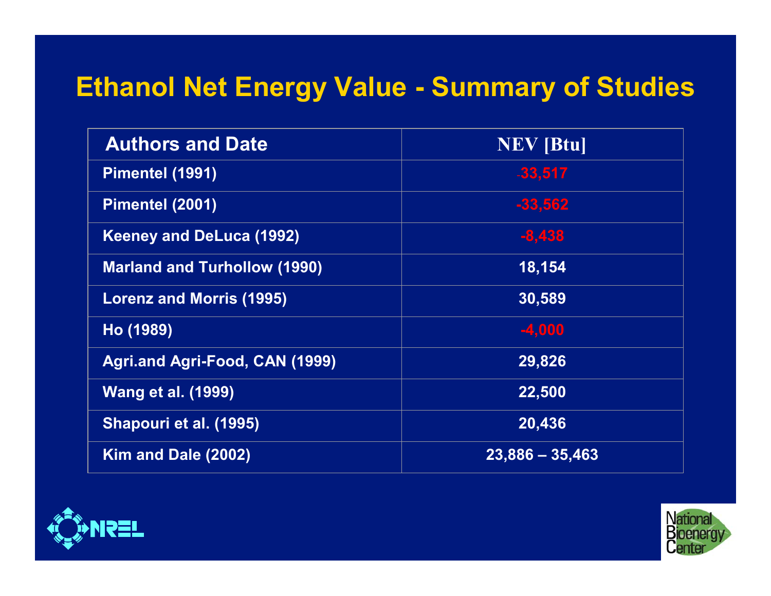# **Ethanol Net Energy Value - Summary of Studies**

| <b>Authors and Date</b>               | <b>NEV</b> [Btu]  |
|---------------------------------------|-------------------|
| Pimentel (1991)                       | $-33,517$         |
| Pimentel (2001)                       | $-33,562$         |
| <b>Keeney and DeLuca (1992)</b>       | $-8,438$          |
| <b>Marland and Turhollow (1990)</b>   | 18,154            |
| <b>Lorenz and Morris (1995)</b>       | 30,589            |
| Ho (1989)                             | $-4,000$          |
| <b>Agri.and Agri-Food, CAN (1999)</b> | 29,826            |
| <b>Wang et al. (1999)</b>             | 22,500            |
| Shapouri et al. (1995)                | 20,436            |
| Kim and Dale (2002)                   | $23,886 - 35,463$ |



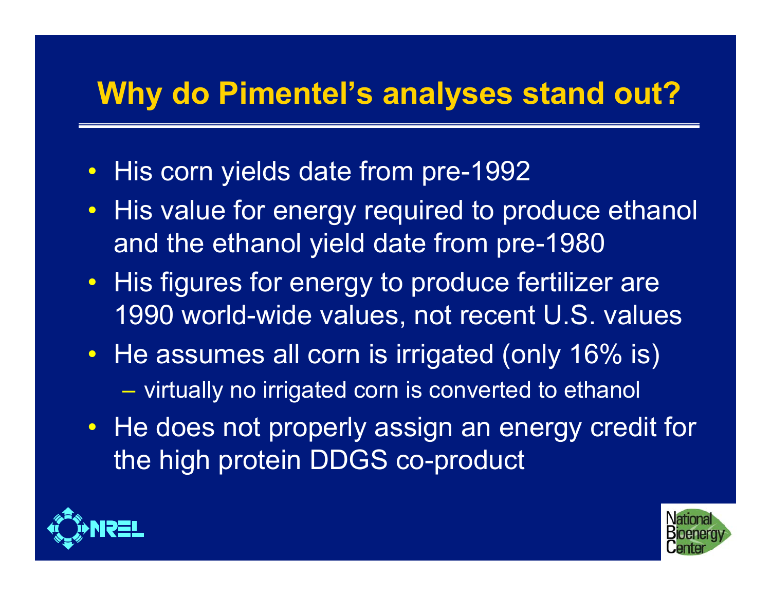# **Why do Pimentel's analyses stand out?**

- $\bullet$ His corn yields date from pre-1992
- $\bullet$  His value for energy required to produce ethanol and the ethanol yield date from pre-1980
- His figures for energy to produce fertilizer are 1990 world-wide values, not recent U.S. values
- He assumes all corn is irrigated (only 16% is)  $-$  virtually no irrigated corn is converted to ethanol
- He does not properly assign an energy credit for the high protein DDGS co-product



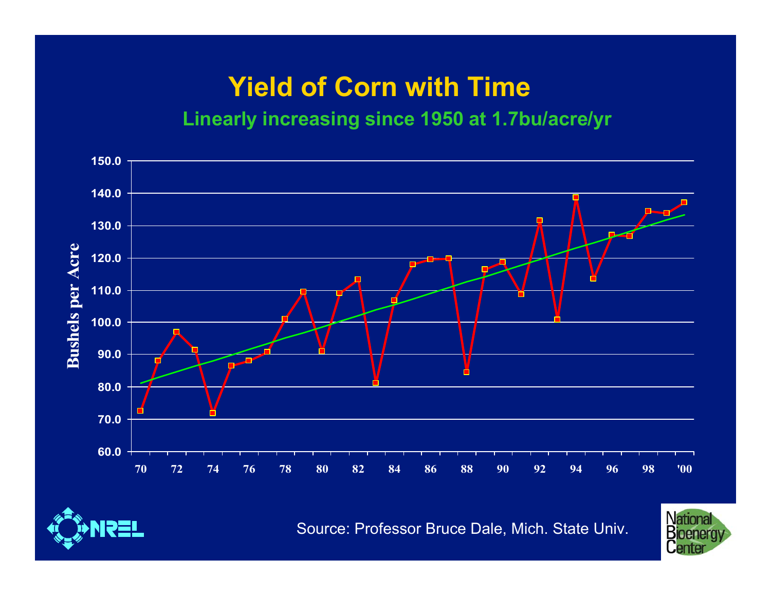# **Yield of Corn with Time**

#### **Linearly increasing since 1950 at 1.7bu/acre/yr**





Source: Professor Bruce Dale, Mich. State Univ.

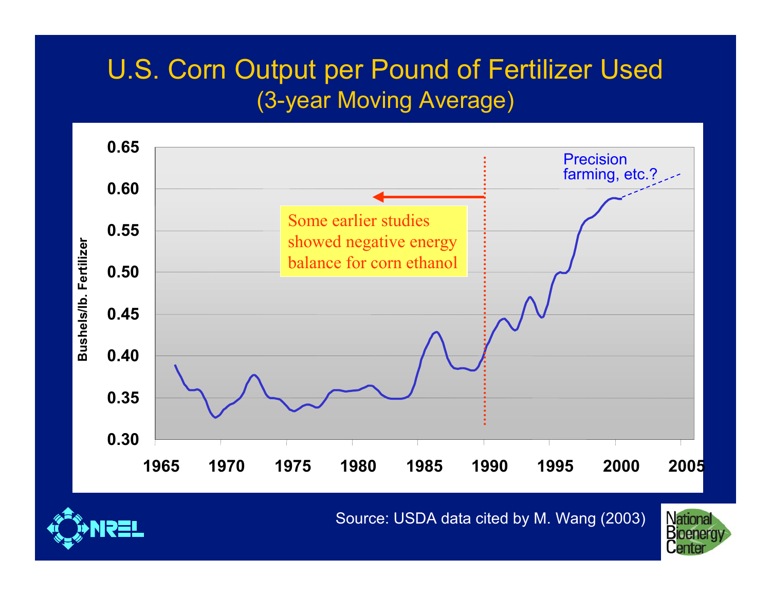#### U.S. Corn Output per Pound of Fertilizer Used (3-year Moving Average)



Source: USDA data cited by M. Wang (2003)